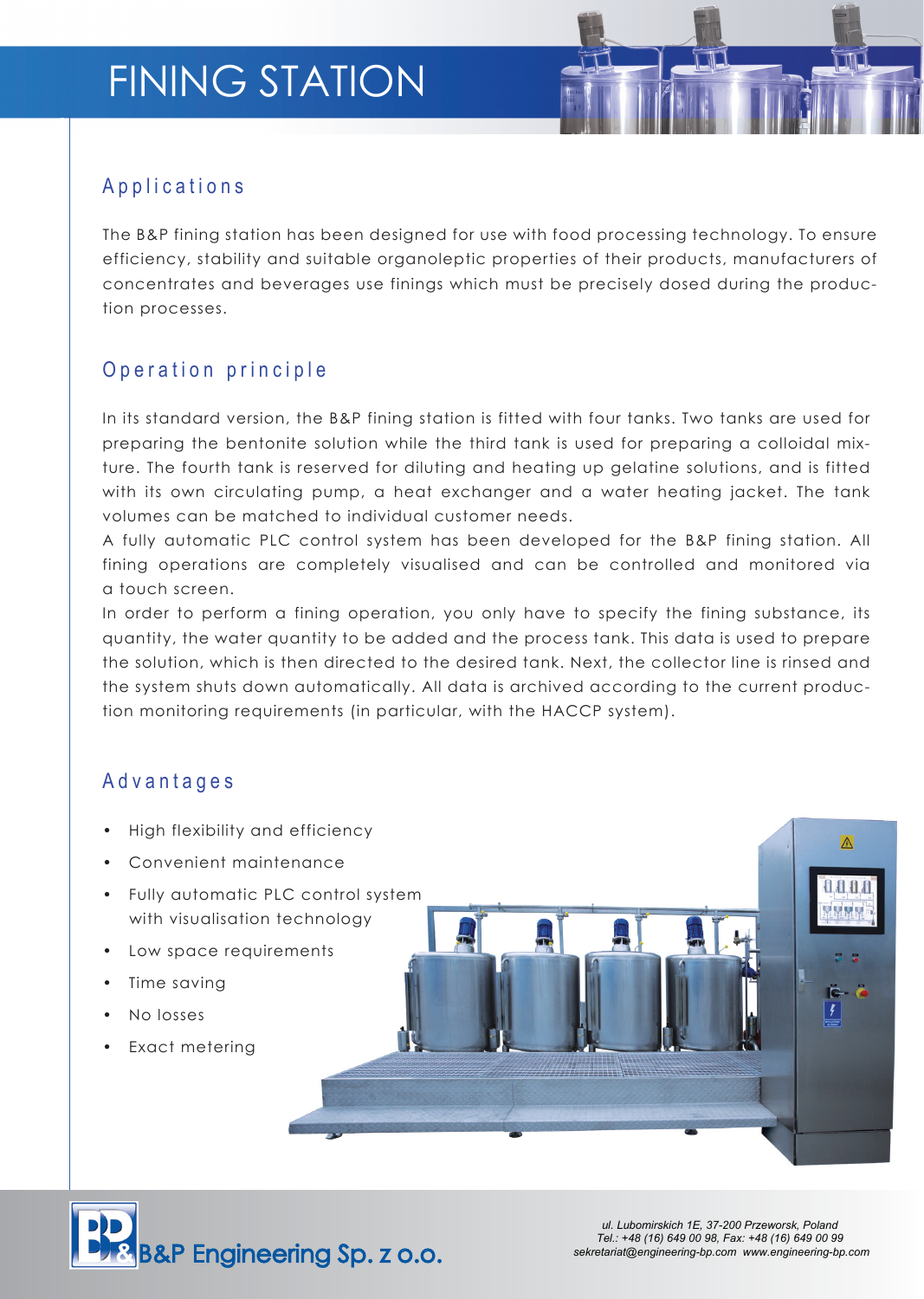# FINING STATION

### A p p lications

The B&P fining station has been designed for use with food processing technology. To ensure efficiency, stability and suitable organoleptic properties of their products, manufacturers of concentrates and beverages use finings which must be precisely dosed during the production processes.

## O p e r a tion principle

In its standard version, the B&P fining station is fitted with four tanks. Two tanks are used for preparing the bentonite solution while the third tank is used for preparing a colloidal mixture. The fourth tank is reserved for diluting and heating up gelatine solutions, and is fitted with its own circulating pump, a heat exchanger and a water heating jacket. The tank volumes can be matched to individual customer needs.

A fully automatic PLC control system has been developed for the B&P fining station. All fining operations are completely visualised and can be controlled and monitored via a touch screen.

In order to perform a fining operation, you only have to specify the fining substance, its quantity, the water quantity to be added and the process tank. This data is used to prepare the solution, which is then directed to the desired tank. Next, the collector line is rinsed and the system shuts down automatically. All data is archived according to the current production monitoring requirements (in particular, with the HACCP system).

### A d v a n t a g e s

- High flexibility and efficiency
- Convenient maintenance
- Fully automatic PLC control system with visualisation technology
- Low space requirements
- Time saving
- No losses
- Exact metering